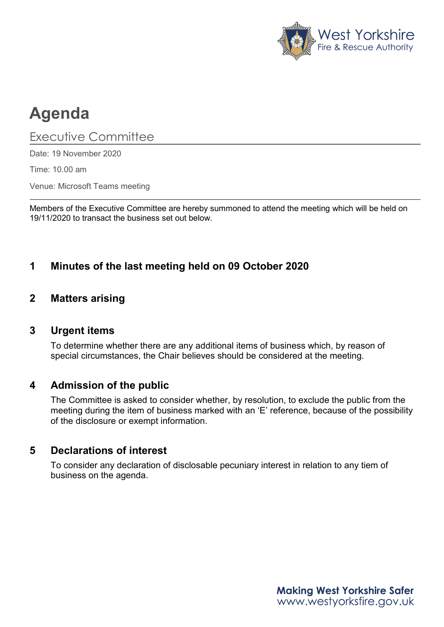

# **Agenda**

Executive Committee

Date: 19 November 2020

Time: 10.00 am

Venue: Microsoft Teams meeting

Members of the Executive Committee are hereby summoned to attend the meeting which will be held on 19/11/2020 to transact the business set out below.

# **1 Minutes of the last meeting held on 09 October 2020**

## **2 Matters arising**

#### **3 Urgent items**

To determine whether there are any additional items of business which, by reason of special circumstances, the Chair believes should be considered at the meeting.

## **4 Admission of the public**

The Committee is asked to consider whether, by resolution, to exclude the public from the meeting during the item of business marked with an 'E' reference, because of the possibility of the disclosure or exempt information.

## **5 Declarations of interest**

To consider any declaration of disclosable pecuniary interest in relation to any tiem of business on the agenda.